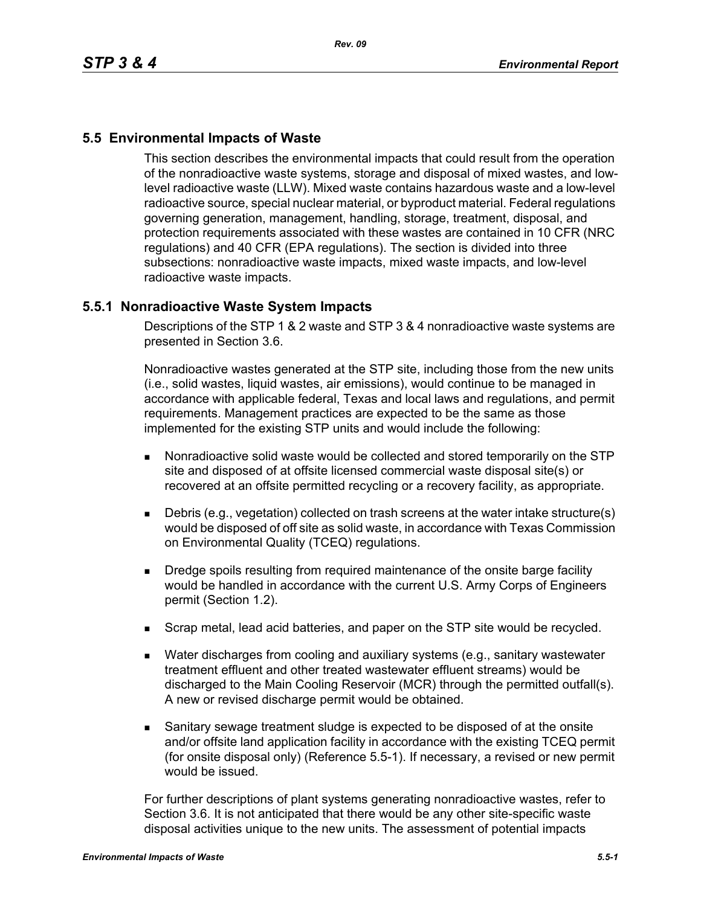# **5.5 Environmental Impacts of Waste**

This section describes the environmental impacts that could result from the operation of the nonradioactive waste systems, storage and disposal of mixed wastes, and lowlevel radioactive waste (LLW). Mixed waste contains hazardous waste and a low-level radioactive source, special nuclear material, or byproduct material. Federal regulations governing generation, management, handling, storage, treatment, disposal, and protection requirements associated with these wastes are contained in 10 CFR (NRC regulations) and 40 CFR (EPA regulations). The section is divided into three subsections: nonradioactive waste impacts, mixed waste impacts, and low-level radioactive waste impacts.

## **5.5.1 Nonradioactive Waste System Impacts**

Descriptions of the STP 1 & 2 waste and STP 3 & 4 nonradioactive waste systems are presented in Section 3.6.

Nonradioactive wastes generated at the STP site, including those from the new units (i.e., solid wastes, liquid wastes, air emissions), would continue to be managed in accordance with applicable federal, Texas and local laws and regulations, and permit requirements. Management practices are expected to be the same as those implemented for the existing STP units and would include the following:

- Nonradioactive solid waste would be collected and stored temporarily on the STP site and disposed of at offsite licensed commercial waste disposal site(s) or recovered at an offsite permitted recycling or a recovery facility, as appropriate.
- Debris (e.g., vegetation) collected on trash screens at the water intake structure(s) would be disposed of off site as solid waste, in accordance with Texas Commission on Environmental Quality (TCEQ) regulations.
- **Dredge spoils resulting from required maintenance of the onsite barge facility** would be handled in accordance with the current U.S. Army Corps of Engineers permit (Section 1.2).
- **Scrap metal, lead acid batteries, and paper on the STP site would be recycled.**
- Water discharges from cooling and auxiliary systems (e.g., sanitary wastewater treatment effluent and other treated wastewater effluent streams) would be discharged to the Main Cooling Reservoir (MCR) through the permitted outfall(s). A new or revised discharge permit would be obtained.
- Sanitary sewage treatment sludge is expected to be disposed of at the onsite and/or offsite land application facility in accordance with the existing TCEQ permit (for onsite disposal only) (Reference 5.5-1). If necessary, a revised or new permit would be issued.

For further descriptions of plant systems generating nonradioactive wastes, refer to Section 3.6. It is not anticipated that there would be any other site-specific waste disposal activities unique to the new units. The assessment of potential impacts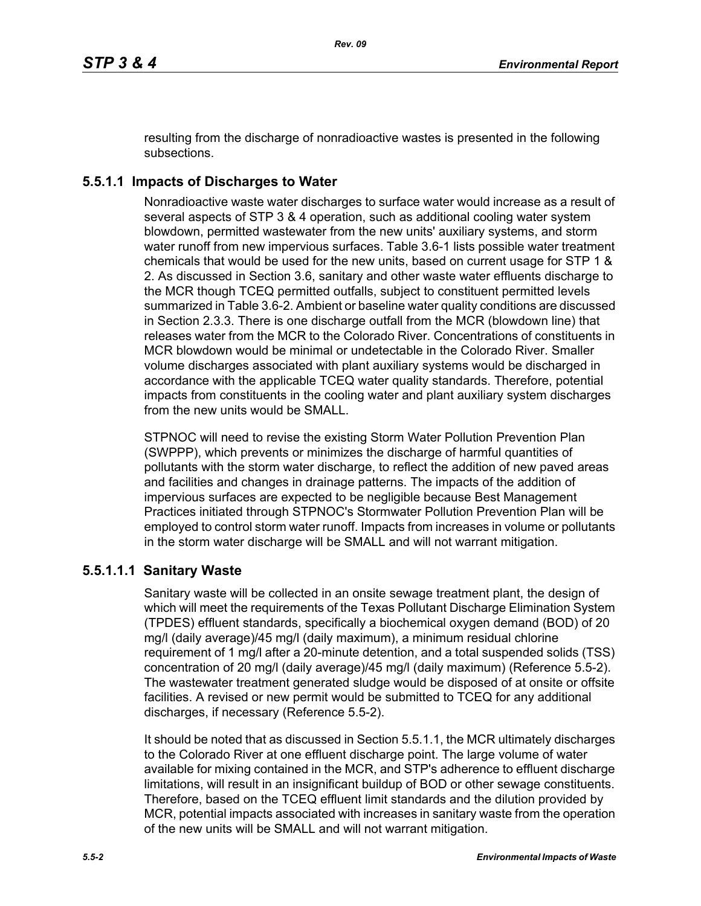resulting from the discharge of nonradioactive wastes is presented in the following subsections.

# **5.5.1.1 Impacts of Discharges to Water**

Nonradioactive waste water discharges to surface water would increase as a result of several aspects of STP 3 & 4 operation, such as additional cooling water system blowdown, permitted wastewater from the new units' auxiliary systems, and storm water runoff from new impervious surfaces. Table 3.6-1 lists possible water treatment chemicals that would be used for the new units, based on current usage for STP 1 & 2. As discussed in Section 3.6, sanitary and other waste water effluents discharge to the MCR though TCEQ permitted outfalls, subject to constituent permitted levels summarized in Table 3.6-2. Ambient or baseline water quality conditions are discussed in Section 2.3.3. There is one discharge outfall from the MCR (blowdown line) that releases water from the MCR to the Colorado River. Concentrations of constituents in MCR blowdown would be minimal or undetectable in the Colorado River. Smaller volume discharges associated with plant auxiliary systems would be discharged in accordance with the applicable TCEQ water quality standards. Therefore, potential impacts from constituents in the cooling water and plant auxiliary system discharges from the new units would be SMALL.

STPNOC will need to revise the existing Storm Water Pollution Prevention Plan (SWPPP), which prevents or minimizes the discharge of harmful quantities of pollutants with the storm water discharge, to reflect the addition of new paved areas and facilities and changes in drainage patterns. The impacts of the addition of impervious surfaces are expected to be negligible because Best Management Practices initiated through STPNOC's Stormwater Pollution Prevention Plan will be employed to control storm water runoff. Impacts from increases in volume or pollutants in the storm water discharge will be SMALL and will not warrant mitigation.

## **5.5.1.1.1 Sanitary Waste**

Sanitary waste will be collected in an onsite sewage treatment plant, the design of which will meet the requirements of the Texas Pollutant Discharge Elimination System (TPDES) effluent standards, specifically a biochemical oxygen demand (BOD) of 20 mg/l (daily average)/45 mg/l (daily maximum), a minimum residual chlorine requirement of 1 mg/l after a 20-minute detention, and a total suspended solids (TSS) concentration of 20 mg/l (daily average)/45 mg/l (daily maximum) (Reference 5.5-2). The wastewater treatment generated sludge would be disposed of at onsite or offsite facilities. A revised or new permit would be submitted to TCEQ for any additional discharges, if necessary (Reference 5.5-2).

It should be noted that as discussed in Section 5.5.1.1, the MCR ultimately discharges to the Colorado River at one effluent discharge point. The large volume of water available for mixing contained in the MCR, and STP's adherence to effluent discharge limitations, will result in an insignificant buildup of BOD or other sewage constituents. Therefore, based on the TCEQ effluent limit standards and the dilution provided by MCR, potential impacts associated with increases in sanitary waste from the operation of the new units will be SMALL and will not warrant mitigation.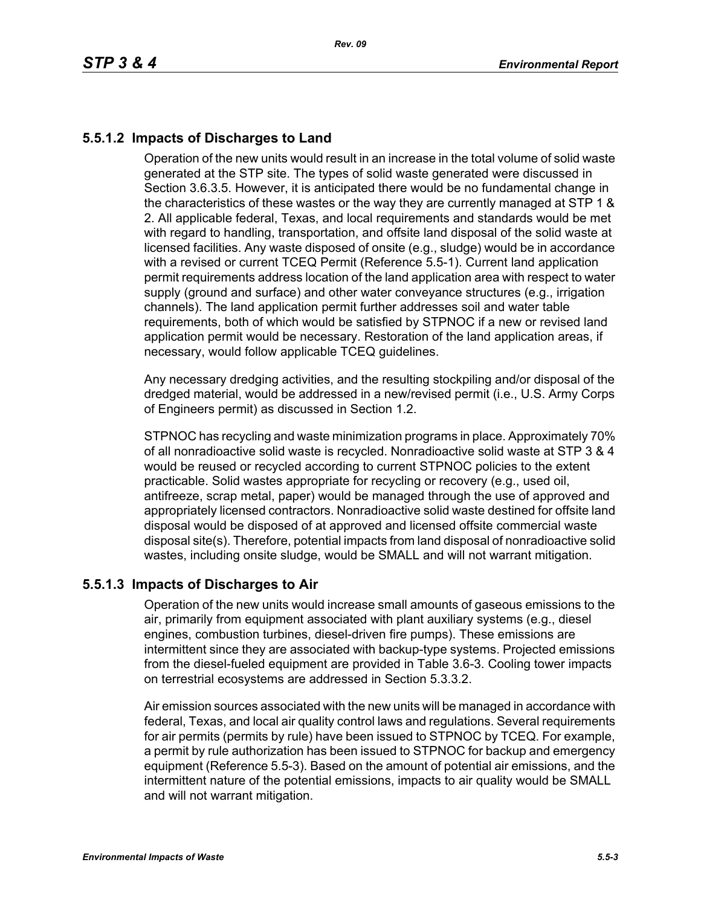# **5.5.1.2 Impacts of Discharges to Land**

Operation of the new units would result in an increase in the total volume of solid waste generated at the STP site. The types of solid waste generated were discussed in Section 3.6.3.5. However, it is anticipated there would be no fundamental change in the characteristics of these wastes or the way they are currently managed at STP 1 & 2. All applicable federal, Texas, and local requirements and standards would be met with regard to handling, transportation, and offsite land disposal of the solid waste at licensed facilities. Any waste disposed of onsite (e.g., sludge) would be in accordance with a revised or current TCEQ Permit (Reference 5.5-1). Current land application permit requirements address location of the land application area with respect to water supply (ground and surface) and other water conveyance structures (e.g., irrigation channels). The land application permit further addresses soil and water table requirements, both of which would be satisfied by STPNOC if a new or revised land application permit would be necessary. Restoration of the land application areas, if necessary, would follow applicable TCEQ guidelines.

Any necessary dredging activities, and the resulting stockpiling and/or disposal of the dredged material, would be addressed in a new/revised permit (i.e., U.S. Army Corps of Engineers permit) as discussed in Section 1.2.

STPNOC has recycling and waste minimization programs in place. Approximately 70% of all nonradioactive solid waste is recycled. Nonradioactive solid waste at STP 3 & 4 would be reused or recycled according to current STPNOC policies to the extent practicable. Solid wastes appropriate for recycling or recovery (e.g., used oil, antifreeze, scrap metal, paper) would be managed through the use of approved and appropriately licensed contractors. Nonradioactive solid waste destined for offsite land disposal would be disposed of at approved and licensed offsite commercial waste disposal site(s). Therefore, potential impacts from land disposal of nonradioactive solid wastes, including onsite sludge, would be SMALL and will not warrant mitigation.

## **5.5.1.3 Impacts of Discharges to Air**

Operation of the new units would increase small amounts of gaseous emissions to the air, primarily from equipment associated with plant auxiliary systems (e.g., diesel engines, combustion turbines, diesel-driven fire pumps). These emissions are intermittent since they are associated with backup-type systems. Projected emissions from the diesel-fueled equipment are provided in Table 3.6-3. Cooling tower impacts on terrestrial ecosystems are addressed in Section 5.3.3.2.

Air emission sources associated with the new units will be managed in accordance with federal, Texas, and local air quality control laws and regulations. Several requirements for air permits (permits by rule) have been issued to STPNOC by TCEQ. For example, a permit by rule authorization has been issued to STPNOC for backup and emergency equipment (Reference 5.5-3). Based on the amount of potential air emissions, and the intermittent nature of the potential emissions, impacts to air quality would be SMALL and will not warrant mitigation.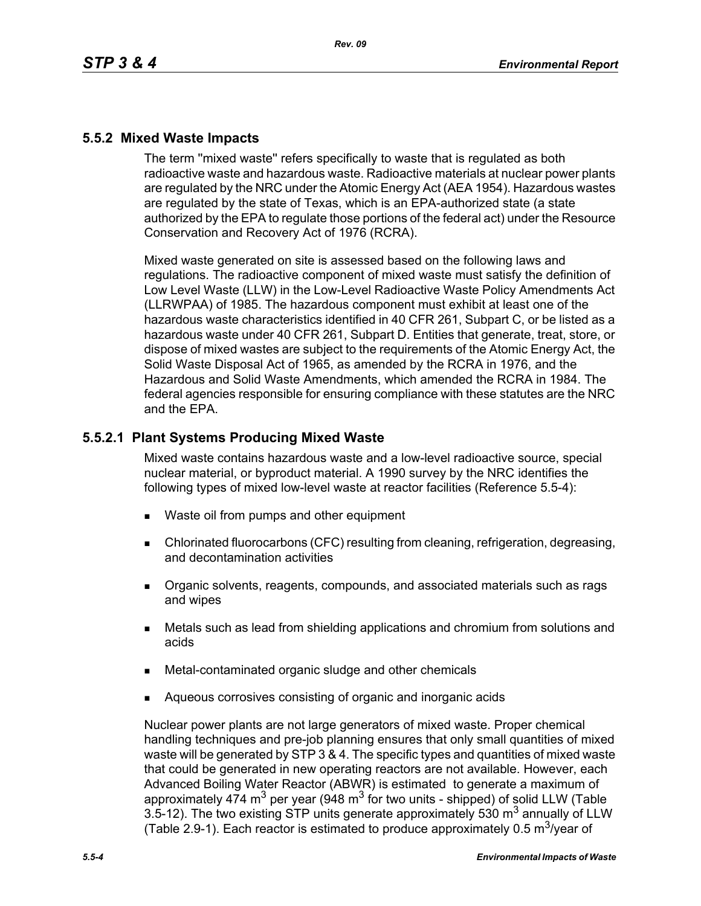## **5.5.2 Mixed Waste Impacts**

The term ''mixed waste'' refers specifically to waste that is regulated as both radioactive waste and hazardous waste. Radioactive materials at nuclear power plants are regulated by the NRC under the Atomic Energy Act (AEA 1954). Hazardous wastes are regulated by the state of Texas, which is an EPA-authorized state (a state authorized by the EPA to regulate those portions of the federal act) under the Resource Conservation and Recovery Act of 1976 (RCRA).

Mixed waste generated on site is assessed based on the following laws and regulations. The radioactive component of mixed waste must satisfy the definition of Low Level Waste (LLW) in the Low-Level Radioactive Waste Policy Amendments Act (LLRWPAA) of 1985. The hazardous component must exhibit at least one of the hazardous waste characteristics identified in 40 CFR 261, Subpart C, or be listed as a hazardous waste under 40 CFR 261, Subpart D. Entities that generate, treat, store, or dispose of mixed wastes are subject to the requirements of the Atomic Energy Act, the Solid Waste Disposal Act of 1965, as amended by the RCRA in 1976, and the Hazardous and Solid Waste Amendments, which amended the RCRA in 1984. The federal agencies responsible for ensuring compliance with these statutes are the NRC and the EPA.

## **5.5.2.1 Plant Systems Producing Mixed Waste**

Mixed waste contains hazardous waste and a low-level radioactive source, special nuclear material, or byproduct material. A 1990 survey by the NRC identifies the following types of mixed low-level waste at reactor facilities (Reference 5.5-4):

- Waste oil from pumps and other equipment
- Chlorinated fluorocarbons (CFC) resulting from cleaning, refrigeration, degreasing, and decontamination activities
- **Dreamic solvents, reagents, compounds, and associated materials such as rags** and wipes
- Metals such as lead from shielding applications and chromium from solutions and acids
- Metal-contaminated organic sludge and other chemicals
- Aqueous corrosives consisting of organic and inorganic acids

Nuclear power plants are not large generators of mixed waste. Proper chemical handling techniques and pre-job planning ensures that only small quantities of mixed waste will be generated by STP 3 & 4. The specific types and quantities of mixed waste that could be generated in new operating reactors are not available. However, each Advanced Boiling Water Reactor (ABWR) is estimated to generate a maximum of approximately 474 m<sup>3</sup> per year (948 m<sup>3</sup> for two units - shipped) of solid LLW (Table 3.5-12). The two existing STP units generate approximately 530  $m<sup>3</sup>$  annually of LLW (Table 2.9-1). Each reactor is estimated to produce approximately 0.5  $\mathrm{m}^3$ /year of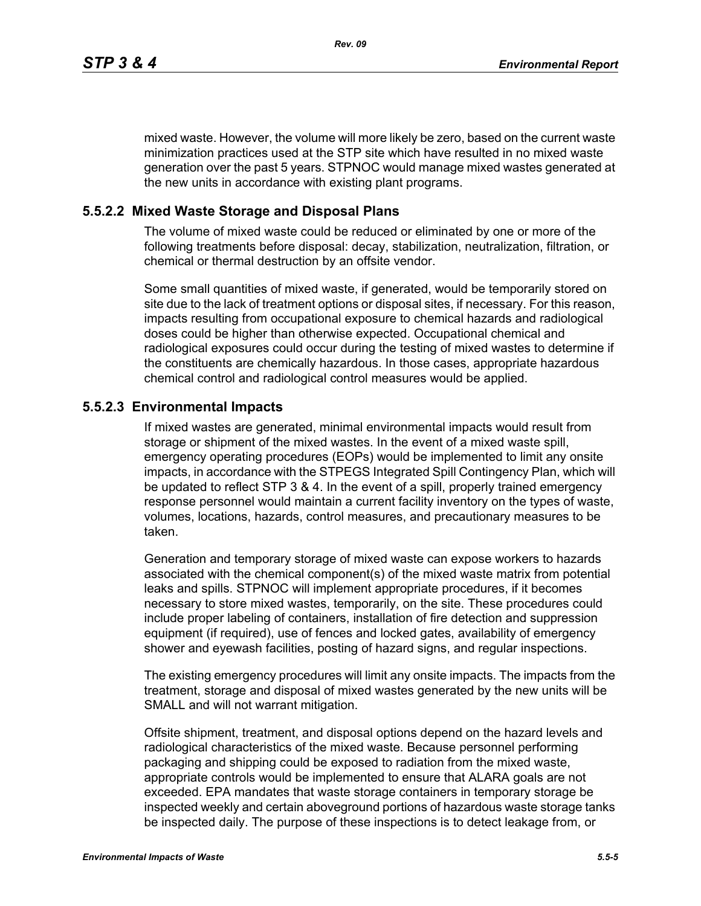mixed waste. However, the volume will more likely be zero, based on the current waste minimization practices used at the STP site which have resulted in no mixed waste generation over the past 5 years. STPNOC would manage mixed wastes generated at the new units in accordance with existing plant programs.

#### **5.5.2.2 Mixed Waste Storage and Disposal Plans**

The volume of mixed waste could be reduced or eliminated by one or more of the following treatments before disposal: decay, stabilization, neutralization, filtration, or chemical or thermal destruction by an offsite vendor.

Some small quantities of mixed waste, if generated, would be temporarily stored on site due to the lack of treatment options or disposal sites, if necessary. For this reason, impacts resulting from occupational exposure to chemical hazards and radiological doses could be higher than otherwise expected. Occupational chemical and radiological exposures could occur during the testing of mixed wastes to determine if the constituents are chemically hazardous. In those cases, appropriate hazardous chemical control and radiological control measures would be applied.

#### **5.5.2.3 Environmental Impacts**

If mixed wastes are generated, minimal environmental impacts would result from storage or shipment of the mixed wastes. In the event of a mixed waste spill, emergency operating procedures (EOPs) would be implemented to limit any onsite impacts, in accordance with the STPEGS Integrated Spill Contingency Plan, which will be updated to reflect STP 3 & 4. In the event of a spill, properly trained emergency response personnel would maintain a current facility inventory on the types of waste, volumes, locations, hazards, control measures, and precautionary measures to be taken.

Generation and temporary storage of mixed waste can expose workers to hazards associated with the chemical component(s) of the mixed waste matrix from potential leaks and spills. STPNOC will implement appropriate procedures, if it becomes necessary to store mixed wastes, temporarily, on the site. These procedures could include proper labeling of containers, installation of fire detection and suppression equipment (if required), use of fences and locked gates, availability of emergency shower and eyewash facilities, posting of hazard signs, and regular inspections.

The existing emergency procedures will limit any onsite impacts. The impacts from the treatment, storage and disposal of mixed wastes generated by the new units will be SMALL and will not warrant mitigation.

Offsite shipment, treatment, and disposal options depend on the hazard levels and radiological characteristics of the mixed waste. Because personnel performing packaging and shipping could be exposed to radiation from the mixed waste, appropriate controls would be implemented to ensure that ALARA goals are not exceeded. EPA mandates that waste storage containers in temporary storage be inspected weekly and certain aboveground portions of hazardous waste storage tanks be inspected daily. The purpose of these inspections is to detect leakage from, or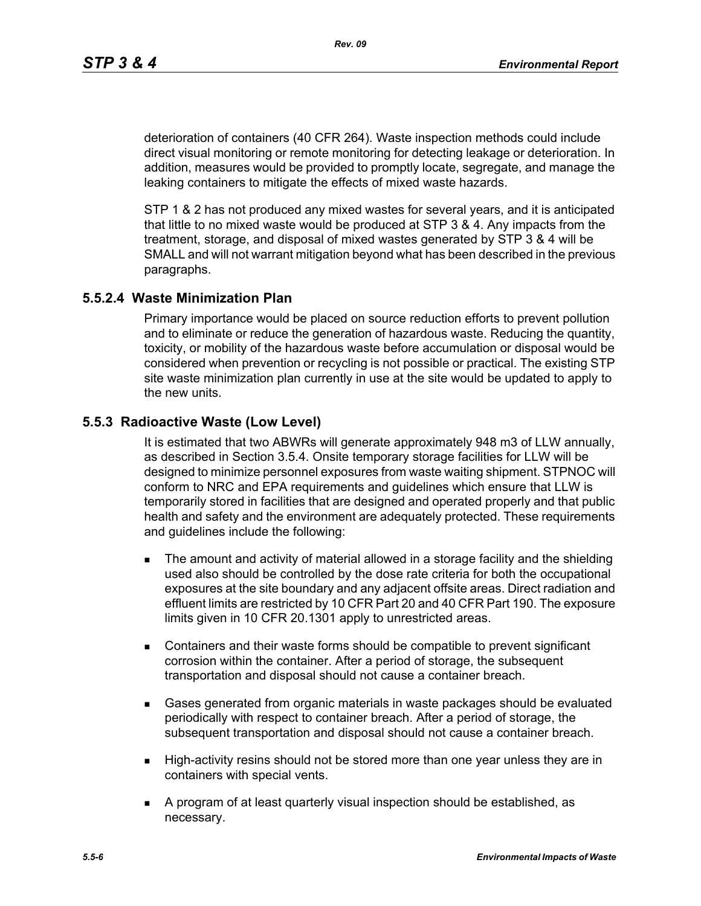deterioration of containers (40 CFR 264). Waste inspection methods could include direct visual monitoring or remote monitoring for detecting leakage or deterioration. In addition, measures would be provided to promptly locate, segregate, and manage the leaking containers to mitigate the effects of mixed waste hazards.

STP 1 & 2 has not produced any mixed wastes for several years, and it is anticipated that little to no mixed waste would be produced at STP 3 & 4. Any impacts from the treatment, storage, and disposal of mixed wastes generated by STP 3 & 4 will be SMALL and will not warrant mitigation beyond what has been described in the previous paragraphs.

#### **5.5.2.4 Waste Minimization Plan**

Primary importance would be placed on source reduction efforts to prevent pollution and to eliminate or reduce the generation of hazardous waste. Reducing the quantity, toxicity, or mobility of the hazardous waste before accumulation or disposal would be considered when prevention or recycling is not possible or practical. The existing STP site waste minimization plan currently in use at the site would be updated to apply to the new units.

#### **5.5.3 Radioactive Waste (Low Level)**

It is estimated that two ABWRs will generate approximately 948 m3 of LLW annually, as described in Section 3.5.4. Onsite temporary storage facilities for LLW will be designed to minimize personnel exposures from waste waiting shipment. STPNOC will conform to NRC and EPA requirements and guidelines which ensure that LLW is temporarily stored in facilities that are designed and operated properly and that public health and safety and the environment are adequately protected. These requirements and guidelines include the following:

- **The amount and activity of material allowed in a storage facility and the shielding** used also should be controlled by the dose rate criteria for both the occupational exposures at the site boundary and any adjacent offsite areas. Direct radiation and effluent limits are restricted by 10 CFR Part 20 and 40 CFR Part 190. The exposure limits given in 10 CFR 20.1301 apply to unrestricted areas.
- Containers and their waste forms should be compatible to prevent significant corrosion within the container. After a period of storage, the subsequent transportation and disposal should not cause a container breach.
- Gases generated from organic materials in waste packages should be evaluated periodically with respect to container breach. After a period of storage, the subsequent transportation and disposal should not cause a container breach.
- **High-activity resins should not be stored more than one year unless they are in** containers with special vents.
- A program of at least quarterly visual inspection should be established, as necessary.